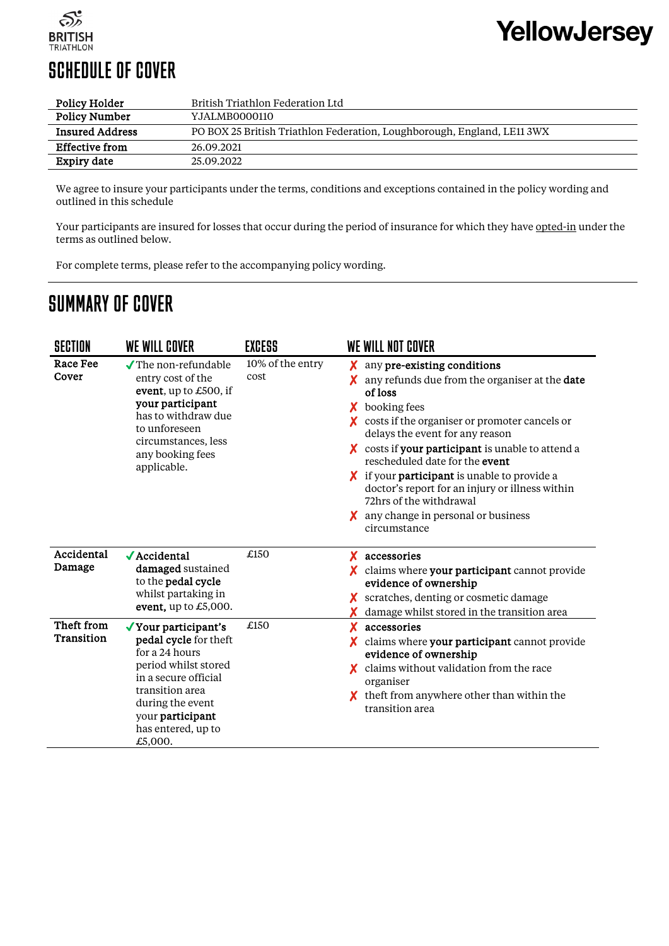

## SCHEDULE OF COVER

| Policy Holder          | British Triathlon Federation Ltd                                        |  |
|------------------------|-------------------------------------------------------------------------|--|
| <b>Policy Number</b>   | Y.JALMB0000110                                                          |  |
| <b>Insured Address</b> | PO BOX 25 British Triathlon Federation, Loughborough, England, LE11 3WX |  |
| <b>Effective from</b>  | 26.09.2021                                                              |  |
| Expiry date            | 25.09.2022                                                              |  |

We agree to insure your participants under the terms, conditions and exceptions contained in the policy wording and outlined in this schedule

Your participants are insured for losses that occur during the period of insurance for which they have opted-in under the terms as outlined below.

For complete terms, please refer to the accompanying policy wording.

## SUMMARY OF COVER

J.

| SECTION                  | WE WILL COVER                                                                                                                                                                                               | <b>EXCESS</b>            | WE WILL NOT COVER                                                                                                                                                                                                                                                                                                                                                                                                                                                                                                 |
|--------------------------|-------------------------------------------------------------------------------------------------------------------------------------------------------------------------------------------------------------|--------------------------|-------------------------------------------------------------------------------------------------------------------------------------------------------------------------------------------------------------------------------------------------------------------------------------------------------------------------------------------------------------------------------------------------------------------------------------------------------------------------------------------------------------------|
| Race Fee<br>Cover        | $\sqrt{\text{The non-refundable}}$<br>entry cost of the<br>event, up to $£500$ , if<br>your participant<br>has to withdraw due<br>to unforeseen<br>circumstances, less<br>any booking fees<br>applicable.   | 10% of the entry<br>cost | any pre-existing conditions<br>x.<br>any refunds due from the organiser at the date<br>X.<br>of loss<br>booking fees<br>X.<br>$\chi$ costs if the organiser or promoter cancels or<br>delays the event for any reason<br>costs if your participant is unable to attend a<br>rescheduled date for the event<br>$\chi$ if your <b>participant</b> is unable to provide a<br>doctor's report for an injury or illness within<br>72hrs of the withdrawal<br>$\chi$ any change in personal or business<br>circumstance |
| Accidental<br>Damage     | $\sqrt{\text{Accidental}}$<br>damaged sustained<br>to the pedal cycle<br>whilst partaking in<br>event, up to $£5,000$ .                                                                                     | £150                     | accessories<br>X.<br>$\chi$ claims where your participant cannot provide<br>evidence of ownership<br>scratches, denting or cosmetic damage<br>damage whilst stored in the transition area                                                                                                                                                                                                                                                                                                                         |
| Theft from<br>Transition | √ Your participant's<br>pedal cycle for theft<br>for a 24 hours<br>period whilst stored<br>in a secure official<br>transition area<br>during the event<br>your participant<br>has entered, up to<br>£5,000. | £150                     | accessories<br>X<br>claims where your participant cannot provide<br>evidence of ownership<br>claims without validation from the race<br>organiser<br>theft from anywhere other than within the<br>transition area                                                                                                                                                                                                                                                                                                 |